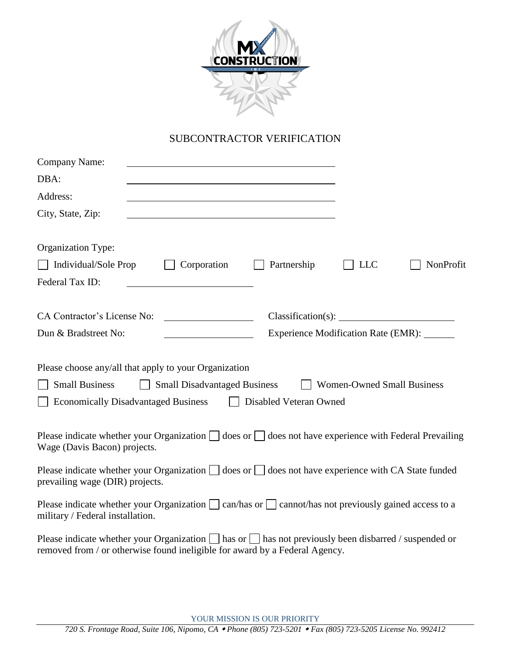

## SUBCONTRACTOR VERIFICATION

| <b>Company Name:</b>                                                                                                                                                                                                               |                                         |                                     |            |           |  |  |  |
|------------------------------------------------------------------------------------------------------------------------------------------------------------------------------------------------------------------------------------|-----------------------------------------|-------------------------------------|------------|-----------|--|--|--|
| DBA:                                                                                                                                                                                                                               |                                         |                                     |            |           |  |  |  |
| Address:                                                                                                                                                                                                                           |                                         |                                     |            |           |  |  |  |
| City, State, Zip:                                                                                                                                                                                                                  |                                         |                                     |            |           |  |  |  |
| Organization Type:                                                                                                                                                                                                                 |                                         |                                     |            |           |  |  |  |
| Individual/Sole Prop                                                                                                                                                                                                               | Corporation                             | Partnership                         | <b>LLC</b> | NonProfit |  |  |  |
| Federal Tax ID:                                                                                                                                                                                                                    |                                         |                                     |            |           |  |  |  |
| CA Contractor's License No:                                                                                                                                                                                                        | <u> 1990 - Johann Barbara, martin a</u> |                                     |            |           |  |  |  |
| Dun & Bradstreet No:                                                                                                                                                                                                               |                                         | Experience Modification Rate (EMR): |            |           |  |  |  |
| Please choose any/all that apply to your Organization<br><b>Small Business</b><br><b>Small Disadvantaged Business</b><br><b>Women-Owned Small Business</b><br><b>Economically Disadvantaged Business</b><br>Disabled Veteran Owned |                                         |                                     |            |           |  |  |  |
| Please indicate whether your Organization $\Box$ does or $\Box$ does not have experience with Federal Prevailing<br>Wage (Davis Bacon) projects.                                                                                   |                                         |                                     |            |           |  |  |  |
| Please indicate whether your Organization $\Box$ does or $\Box$ does not have experience with CA State funded<br>prevailing wage (DIR) projects.                                                                                   |                                         |                                     |            |           |  |  |  |
| Please indicate whether your Organization $\Box$ can/has or $\Box$ cannot/has not previously gained access to a<br>military / Federal installation.                                                                                |                                         |                                     |            |           |  |  |  |
| Please indicate whether your Organization $\Box$ has or $\Box$ has not previously been disbarred / suspended or<br>removed from / or otherwise found ineligible for award by a Federal Agency.                                     |                                         |                                     |            |           |  |  |  |

YOUR MISSION IS OUR PRIORITY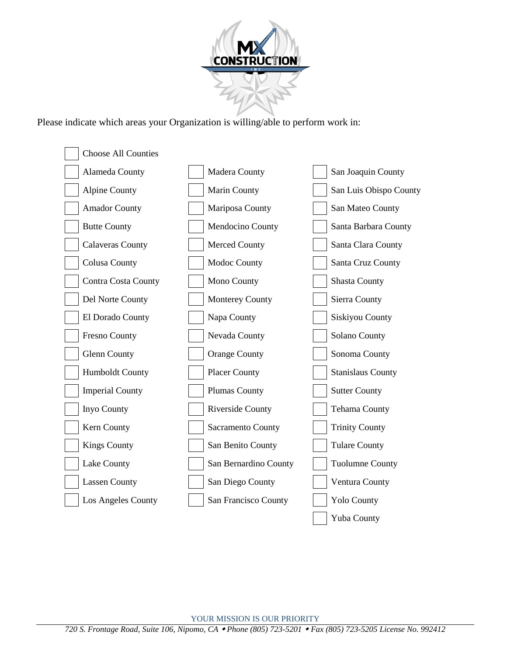

Please indicate which areas your Organization is willing/able to perform work in: